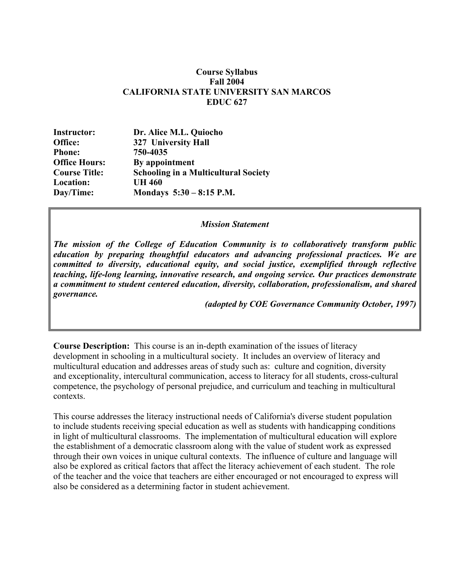#### **Course Syllabus Fall 2004 CALIFORNIA STATE UNIVERSITY SAN MARCOS EDUC 627**

| Dr. Alice M.L. Quiocho                      |
|---------------------------------------------|
| 327 University Hall                         |
| 750-4035                                    |
| By appointment                              |
| <b>Schooling in a Multicultural Society</b> |
| <b>UH 460</b>                               |
| Mondays $5:30 - 8:15$ P.M.                  |
|                                             |

#### *Mission Statement*

*The mission of the College of Education Community is to collaboratively transform public education by preparing thoughtful educators and advancing professional practices. We are committed to diversity, educational equity, and social justice, exemplified through reflective teaching, life-long learning, innovative research, and ongoing service. Our practices demonstrate a commitment to student centered education, diversity, collaboration, professionalism, and shared governance.* 

*(adopted by COE Governance Community October, 1997)*

**Course Description:** This course is an in-depth examination of the issues of literacy development in schooling in a multicultural society. It includes an overview of literacy and multicultural education and addresses areas of study such as: culture and cognition, diversity and exceptionality, intercultural communication, access to literacy for all students, cross-cultural competence, the psychology of personal prejudice, and curriculum and teaching in multicultural contexts.

This course addresses the literacy instructional needs of California's diverse student population to include students receiving special education as well as students with handicapping conditions in light of multicultural classrooms. The implementation of multicultural education will explore the establishment of a democratic classroom along with the value of student work as expressed through their own voices in unique cultural contexts. The influence of culture and language will also be explored as critical factors that affect the literacy achievement of each student. The role of the teacher and the voice that teachers are either encouraged or not encouraged to express will also be considered as a determining factor in student achievement.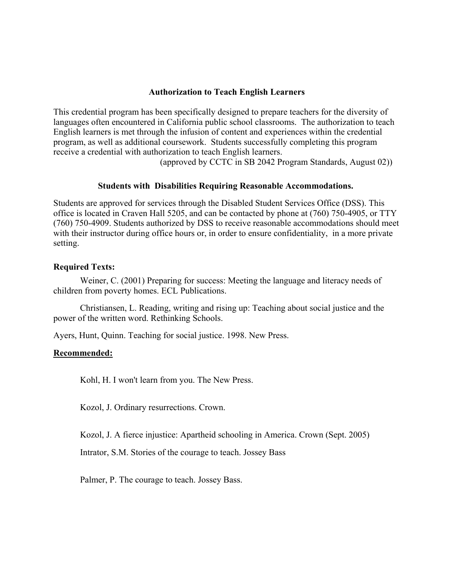### **Authorization to Teach English Learners**

This credential program has been specifically designed to prepare teachers for the diversity of languages often encountered in California public school classrooms. The authorization to teach English learners is met through the infusion of content and experiences within the credential program, as well as additional coursework. Students successfully completing this program receive a credential with authorization to teach English learners.

(approved by CCTC in SB 2042 Program Standards, August 02))

#### **Students with Disabilities Requiring Reasonable Accommodations.**

Students are approved for services through the Disabled Student Services Office (DSS). This office is located in Craven Hall 5205, and can be contacted by phone at (760) 750-4905, or TTY (760) 750-4909. Students authorized by DSS to receive reasonable accommodations should meet with their instructor during office hours or, in order to ensure confidentiality, in a more private setting.

### **Required Texts:**

Weiner, C. (2001) Preparing for success: Meeting the language and literacy needs of children from poverty homes. ECL Publications.

Christiansen, L. Reading, writing and rising up: Teaching about social justice and the power of the written word. Rethinking Schools.

Ayers, Hunt, Quinn. Teaching for social justice. 1998. New Press.

#### **Recommended:**

Kohl, H. I won't learn from you. The New Press.

Kozol, J. Ordinary resurrections. Crown.

Kozol, J. A fierce injustice: Apartheid schooling in America. Crown (Sept. 2005)

Intrator, S.M. Stories of the courage to teach. Jossey Bass

Palmer, P. The courage to teach. Jossey Bass.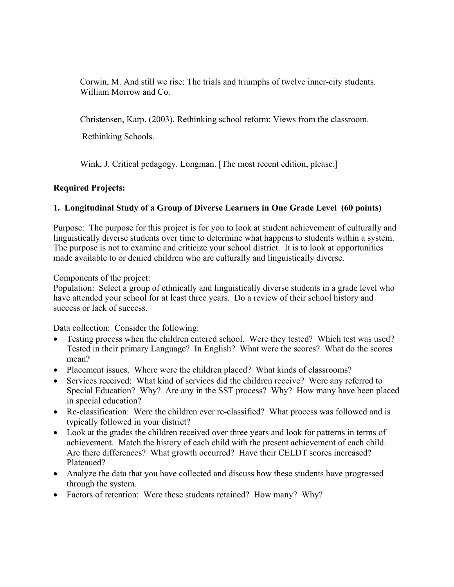Corwin, M. And still we rise: The trials and triumphs of twelve inner-city students. William Morrow and Co.

Christensen, Karp. (2003). Rethinking school reform: Views from the classroom.

Rethinking Schools.

Wink, J. Critical pedagogy. Longman. [The most recent edition, please.]

## **Required Projects:**

## **1. Longitudinal Study of a Group of Diverse Learners in One Grade Level (60 points)**

Purpose: The purpose for this project is for you to look at student achievement of culturally and linguistically diverse students over time to determine what happens to students within a system. The purpose is not to examine and criticize your school district. It is to look at opportunities made available to or denied children who are culturally and linguistically diverse.

## Components of the project:

Population: Select a group of ethnically and linguistically diverse students in a grade level who have attended your school for at least three years. Do a review of their school history and success or lack of success.

Data collection: Consider the following:

- Testing process when the children entered school. Were they tested? Which test was used? Tested in their primary Language? In English? What were the scores? What do the scores mean?
- Placement issues. Where were the children placed? What kinds of classrooms?
- Services received: What kind of services did the children receive? Were any referred to Special Education? Why? Are any in the SST process? Why? How many have been placed in special education?
- Re-classification: Were the children ever re-classified? What process was followed and is typically followed in your district?
- Look at the grades the children received over three years and look for patterns in terms of achievement. Match the history of each child with the present achievement of each child. Are there differences? What growth occurred? Have their CELDT scores increased? Plateaued?
- Analyze the data that you have collected and discuss how these students have progressed through the system.
- Factors of retention: Were these students retained? How many? Why?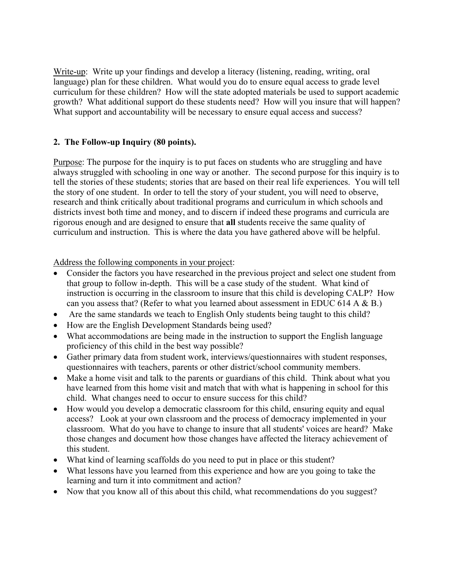Write-up: Write up your findings and develop a literacy (listening, reading, writing, oral language) plan for these children. What would you do to ensure equal access to grade level curriculum for these children? How will the state adopted materials be used to support academic growth? What additional support do these students need? How will you insure that will happen? What support and accountability will be necessary to ensure equal access and success?

## **2. The Follow-up Inquiry (80 points).**

Purpose: The purpose for the inquiry is to put faces on students who are struggling and have always struggled with schooling in one way or another. The second purpose for this inquiry is to tell the stories of these students; stories that are based on their real life experiences. You will tell the story of one student. In order to tell the story of your student, you will need to observe, research and think critically about traditional programs and curriculum in which schools and districts invest both time and money, and to discern if indeed these programs and curricula are rigorous enough and are designed to ensure that **all** students receive the same quality of curriculum and instruction. This is where the data you have gathered above will be helpful.

Address the following components in your project:

- Consider the factors you have researched in the previous project and select one student from that group to follow in-depth. This will be a case study of the student. What kind of instruction is occurring in the classroom to insure that this child is developing CALP? How can you assess that? (Refer to what you learned about assessment in EDUC 614 A & B.)
- Are the same standards we teach to English Only students being taught to this child?
- How are the English Development Standards being used?
- What accommodations are being made in the instruction to support the English language proficiency of this child in the best way possible?
- Gather primary data from student work, interviews/questionnaires with student responses, questionnaires with teachers, parents or other district/school community members.
- Make a home visit and talk to the parents or guardians of this child. Think about what you have learned from this home visit and match that with what is happening in school for this child. What changes need to occur to ensure success for this child?
- How would you develop a democratic classroom for this child, ensuring equity and equal access? Look at your own classroom and the process of democracy implemented in your classroom. What do you have to change to insure that all students' voices are heard? Make those changes and document how those changes have affected the literacy achievement of this student.
- What kind of learning scaffolds do you need to put in place or this student?
- What lessons have you learned from this experience and how are you going to take the learning and turn it into commitment and action?
- Now that you know all of this about this child, what recommendations do you suggest?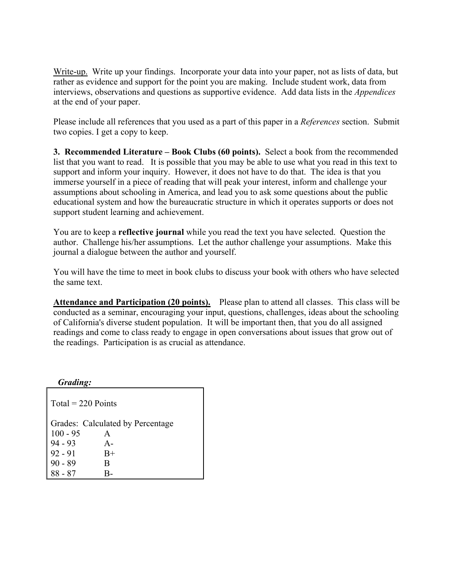Write-up. Write up your findings. Incorporate your data into your paper, not as lists of data, but rather as evidence and support for the point you are making. Include student work, data from interviews, observations and questions as supportive evidence. Add data lists in the *Appendices* at the end of your paper.

Please include all references that you used as a part of this paper in a *References* section. Submit two copies. I get a copy to keep.

**3. Recommended Literature – Book Clubs (60 points).** Select a book from the recommended list that you want to read. It is possible that you may be able to use what you read in this text to support and inform your inquiry. However, it does not have to do that. The idea is that you immerse yourself in a piece of reading that will peak your interest, inform and challenge your assumptions about schooling in America, and lead you to ask some questions about the public educational system and how the bureaucratic structure in which it operates supports or does not support student learning and achievement.

You are to keep a **reflective journal** while you read the text you have selected. Question the author. Challenge his/her assumptions. Let the author challenge your assumptions. Make this journal a dialogue between the author and yourself.

You will have the time to meet in book clubs to discuss your book with others who have selected the same text.

**Attendance and Participation (20 points).** Please plan to attend all classes. This class will be conducted as a seminar, encouraging your input, questions, challenges, ideas about the schooling of California's diverse student population. It will be important then, that you do all assigned readings and come to class ready to engage in open conversations about issues that grow out of the readings. Participation is as crucial as attendance.

 *Grading:* 

 $Total = 220$  Points Grades: Calculated by Percentage 100 - 95 A 94 - 93 A- $92 - 91$  B+ 90 - 89 B 88 - 87 B-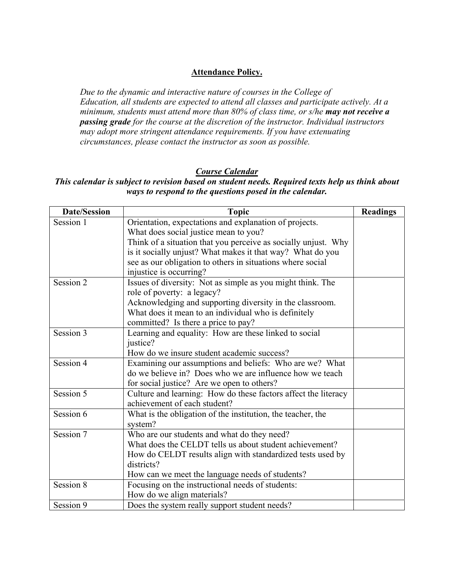## **Attendance Policy.**

*Due to the dynamic and interactive nature of courses in the College of Education, all students are expected to attend all classes and participate actively. At a minimum, students must attend more than 80% of class time, or s/he may not receive a passing grade for the course at the discretion of the instructor. Individual instructors may adopt more stringent attendance requirements. If you have extenuating circumstances, please contact the instructor as soon as possible.* 

## *Course Calendar*

# *This calendar is subject to revision based on student needs. Required texts help us think about ways to respond to the questions posed in the calendar.*

| <b>Date/Session</b> | <b>Topic</b>                                                   | <b>Readings</b> |
|---------------------|----------------------------------------------------------------|-----------------|
| Session 1           | Orientation, expectations and explanation of projects.         |                 |
|                     | What does social justice mean to you?                          |                 |
|                     | Think of a situation that you perceive as socially unjust. Why |                 |
|                     | is it socially unjust? What makes it that way? What do you     |                 |
|                     | see as our obligation to others in situations where social     |                 |
|                     | injustice is occurring?                                        |                 |
| Session 2           | Issues of diversity: Not as simple as you might think. The     |                 |
|                     | role of poverty: a legacy?                                     |                 |
|                     | Acknowledging and supporting diversity in the classroom.       |                 |
|                     | What does it mean to an individual who is definitely           |                 |
|                     | committed? Is there a price to pay?                            |                 |
| Session 3           | Learning and equality: How are these linked to social          |                 |
|                     | justice?                                                       |                 |
|                     | How do we insure student academic success?                     |                 |
| Session 4           | Examining our assumptions and beliefs: Who are we? What        |                 |
|                     | do we believe in? Does who we are influence how we teach       |                 |
|                     | for social justice? Are we open to others?                     |                 |
| Session 5           | Culture and learning: How do these factors affect the literacy |                 |
|                     | achievement of each student?                                   |                 |
| Session 6           | What is the obligation of the institution, the teacher, the    |                 |
|                     | system?                                                        |                 |
| Session 7           | Who are our students and what do they need?                    |                 |
|                     | What does the CELDT tells us about student achievement?        |                 |
|                     | How do CELDT results align with standardized tests used by     |                 |
|                     | districts?                                                     |                 |
|                     | How can we meet the language needs of students?                |                 |
| Session 8           | Focusing on the instructional needs of students:               |                 |
|                     | How do we align materials?                                     |                 |
| Session 9           | Does the system really support student needs?                  |                 |